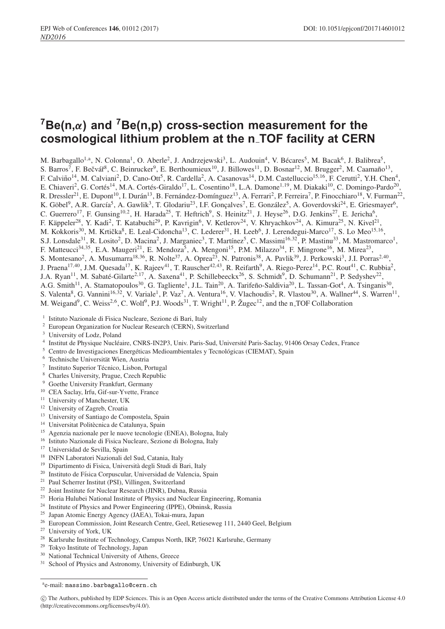# **7Be(n,***α***) and 7Be(n,p) cross-section measurement for the cosmological lithium problem at the n TOF facility at CERN**

M. Barbagallo<sup>1,a</sup>, N. Colonna<sup>1</sup>, O. Aberle<sup>2</sup>, J. Andrzejewski<sup>3</sup>, L. Audouin<sup>4</sup>, V. Bécares<sup>5</sup>, M. Bacak<sup>6</sup>, J. Balibrea<sup>5</sup>, S. Barros<sup>7</sup>, F. Bečvář<sup>8</sup>, C. Beinrucker<sup>9</sup>, E. Berthoumieux<sup>10</sup>, J. Billowes<sup>11</sup>, D. Bosnar<sup>12</sup>, M. Brugger<sup>2</sup>, M. Caamaño<sup>13</sup>, F. Calviño<sup>14</sup>, M. Calviani<sup>2</sup>, D. Cano-Ott<sup>5</sup>, R. Cardella<sup>2</sup>, A. Casanovas<sup>14</sup>, D.M. Castelluccio<sup>15,16</sup>, F. Cerutti<sup>2</sup>, Y.H. Chen<sup>4</sup>, E. Chiaveri<sup>2</sup>, G. Cortés<sup>14</sup>, M.A. Cortés-Giraldo<sup>17</sup>, L. Cosentino<sup>18</sup>, L.A. Damone<sup>1,19</sup>, M. Diakaki<sup>10</sup>, C. Domingo-Pardo<sup>20</sup>, R. Dressler<sup>21</sup>, E. Dupont<sup>10</sup>, I. Durán<sup>13</sup>, B. Fernández-Domínguez<sup>13</sup>, A. Ferrari<sup>2</sup>, P. Ferreira<sup>7</sup>, P. Finocchiaro<sup>18</sup>, V. Furman<sup>22</sup>, K. Göbel<sup>9</sup>, A.R. García<sup>5</sup>, A. Gawlik<sup>3</sup>, T. Glodariu<sup>23</sup>, I.F. Gonçalves<sup>7</sup>, E. González<sup>5</sup>, A. Goverdovski<sup>24</sup>, E. Griesmayer<sup>6</sup>, C. Guerrero<sup>17</sup>, F. Gunsing<sup>10,2</sup>, H. Harada<sup>25</sup>, T. Heftrich<sup>9</sup>, S. Heinitz<sup>21</sup>, J. Heyse<sup>26</sup>, D.G. Jenkins<sup>27</sup>, E. Jericha<sup>6</sup>, F. Käppeler<sup>28</sup>, Y. Kadi<sup>2</sup>, T. Katabuchi<sup>29</sup>, P. Kavrigin<sup>6</sup>, V. Ketlerov<sup>24</sup>, V. Khryachkov<sup>24</sup>, A. Kimura<sup>25</sup>, N. Kivel<sup>21</sup>, M. Kokkoris<sup>30</sup>, M. Krtička<sup>8</sup>, E. Leal-Cidoncha<sup>13</sup>, C. Lederer<sup>31</sup>, H. Leeb<sup>6</sup>, J. Lerendegui-Marco<sup>17</sup>, S. Lo Meo<sup>15,16</sup>, S.J. Lonsdale<sup>31</sup>, R. Losito<sup>2</sup>, D. Macina<sup>2</sup>, J. Marganiec<sup>3</sup>, T. Martínez<sup>5</sup>, C. Massimi<sup>16,32</sup>, P. Mastinu<sup>33</sup>, M. Mastromarco<sup>1</sup>, F. Matteucci<sup>34, 35</sup>, E.A. Maugeri<sup>21</sup>, E. Mendoza<sup>5</sup>, A. Mengoni<sup>15</sup>, P.M. Milazzo<sup>34</sup>, F. Mingrone<sup>16</sup>, M. Mirea<sup>23</sup>, S. Montesano<sup>2</sup>, A. Musumarra<sup>18,36</sup>, R. Nolte<sup>37</sup>, A. Oprea<sup>23</sup>, N. Patronis<sup>38</sup>, A. Pavlik<sup>39</sup>, J. Perkowski<sup>3</sup>, J.I. Porras<sup>2,40</sup>, J. Praena<sup>17,40</sup>, J.M. Quesada<sup>17</sup>, K. Rajeev<sup>41</sup>, T. Rauscher<sup>42,43</sup>, R. Reifarth<sup>9</sup>, A. Riego-Perez<sup>14</sup>, P.C. Rout<sup>41</sup>, C. Rubbia<sup>2</sup>, J.A. Ryan<sup>11</sup>, M. Sabaté-Gilarte<sup>2,17</sup>, A. Saxena<sup>41</sup>, P. Schillebeeckx<sup>26</sup>, S. Schmidt<sup>9</sup>, D. Schumann<sup>21</sup>, P. Sedyshev<sup>22</sup>, A.G. Smith<sup>11</sup>, A. Stamatopoulos<sup>30</sup>, G. Tagliente<sup>1</sup>, J.L. Tain<sup>20</sup>, A. Tarifeño-Saldivia<sup>20</sup>, L. Tassan-Got<sup>4</sup>, A. Tsinganis<sup>30</sup>, S. Valenta<sup>8</sup>, G. Vannini<sup>16,32</sup>, V. Variale<sup>1</sup>, P. Vaz<sup>7</sup>, A. Ventura<sup>16</sup>, V. Vlachoudis<sup>2</sup>, R. Vlastou<sup>30</sup>, A. Wallner<sup>44</sup>, S. Warren<sup>11</sup>, M. Weigand<sup>9</sup>, C. Weiss<sup>2,6</sup>, C. Wolf<sup>9</sup>, P.J. Woods<sup>31</sup>, T. Wright<sup>11</sup>, P. Žugec<sup>12</sup>, and the n\_TOF Collaboration

- <sup>1</sup> Istituto Nazionale di Fisica Nucleare, Sezione di Bari, Italy
- <sup>2</sup> European Organization for Nuclear Research (CERN), Switzerland
- <sup>3</sup> University of Lodz, Poland
- <sup>4</sup> Institut de Physique Nucléaire, CNRS-IN2P3, Univ. Paris-Sud, Université Paris-Saclay, 91406 Orsay Cedex, France
- $5$  Centro de Investigaciones Energéticas Medioambientales y Tecnológicas (CIEMAT), Spain
- $^6$  Technische Universität Wien, Austria
- $7$  Instituto Superior Técnico, Lisbon, Portugal
- <sup>8</sup> Charles University, Prague, Czech Republic
- <sup>9</sup> Goethe University Frankfurt, Germany
- <sup>10</sup> CEA Saclay, Irfu, Gif-sur-Yvette, France
- <sup>11</sup> University of Manchester, UK
- <sup>12</sup> University of Zagreb, Croatia
- <sup>13</sup> University of Santiago de Compostela, Spain
- <sup>14</sup> Universitat Politècnica de Catalunya, Spain
- <sup>15</sup> Agenzia nazionale per le nuove tecnologie (ENEA), Bologna, Italy
- <sup>16</sup> Istituto Nazionale di Fisica Nucleare, Sezione di Bologna, Italy
- <sup>17</sup> Universidad de Sevilla, Spain
- <sup>18</sup> INFN Laboratori Nazionali del Sud, Catania, Italy
- <sup>19</sup> Dipartimento di Fisica, Universita degli Studi di Bari, Italy `
- <sup>20</sup> Instituto de Física Corpuscular, Universidad de Valencia, Spain
- <sup>21</sup> Paul Scherrer Institut (PSI), Villingen, Switzerland
- <sup>22</sup> Joint Institute for Nuclear Research (JINR), Dubna, Russia
- <sup>23</sup> Horia Hulubei National Institute of Physics and Nuclear Engineering, Romania
- <sup>24</sup> Institute of Physics and Power Engineering (IPPE), Obninsk, Russia
- <sup>25</sup> Japan Atomic Energy Agency (JAEA), Tokai-mura, Japan
- <sup>26</sup> European Commission, Joint Research Centre, Geel, Retieseweg 111, 2440 Geel, Belgium
- <sup>27</sup> University of York, UK
- <sup>28</sup> Karlsruhe Institute of Technology, Campus North, IKP, 76021 Karlsruhe, Germany
- <sup>29</sup> Tokyo Institute of Technology, Japan
- <sup>30</sup> National Technical University of Athens, Greece
- <sup>31</sup> School of Physics and Astronomy, University of Edinburgh, UK

a e-mail: massimo.barbagallo@cern.ch

c The Authors, published by EDP Sciences. This is an Open Access article distributed under the terms of the Creative Commons Attribution License 4.0 (http://creativecommons.org/licenses/by/4.0/).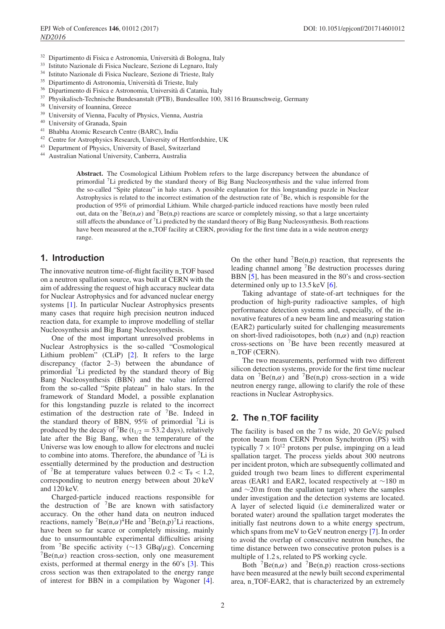- <sup>32</sup> Dipartimento di Fisica e Astronomia, Università di Bologna, Italy
- <sup>33</sup> Istituto Nazionale di Fisica Nucleare, Sezione di Legnaro, Italy
- <sup>34</sup> Istituto Nazionale di Fisica Nucleare, Sezione di Trieste, Italy
- <sup>35</sup> Dipartimento di Astronomia, Universita di Trieste, Italy `
- <sup>36</sup> Dipartimento di Fisica e Astronomia, Universita di Catania, Italy `
- <sup>37</sup> Physikalisch-Technische Bundesanstalt (PTB), Bundesallee 100, 38116 Braunschweig, Germany
- $38$  University of Ioannina, Greece
- University of Vienna, Faculty of Physics, Vienna, Austria
- <sup>40</sup> University of Granada, Spain
- <sup>41</sup> Bhabha Atomic Research Centre (BARC), India
- <sup>42</sup> Centre for Astrophysics Research, University of Hertfordshire, UK
- <sup>43</sup> Department of Physics, University of Basel, Switzerland
- Australian National University, Canberra, Australia

**Abstract.** The Cosmological Lithium Problem refers to the large discrepancy between the abundance of primordial 7Li predicted by the standard theory of Big Bang Nucleosynthesis and the value inferred from the so-called "Spite plateau" in halo stars. A possible explanation for this longstanding puzzle in Nuclear Astrophysics is related to the incorrect estimation of the destruction rate of 7Be, which is responsible for the production of 95% of primordial Lithium. While charged-particle induced reactions have mostly been ruled out, data on the  $^7Be(n,\alpha)$  and  $^7Be(n,p)$  reactions are scarce or completely missing, so that a large uncertainty still affects the abundance of 7Li predicted by the standard theory of Big Bang Nucleosynthesis. Both reactions have been measured at the n\_TOF facility at CERN, providing for the first time data in a wide neutron energy range.

### **1. Introduction**

The innovative neutron time-of-flight facility n\_TOF based on a neutron spallation source, was built at CERN with the aim of addressing the request of high accuracy nuclear data for Nuclear Astrophysics and for advanced nuclear energy systems [\[1\]](#page-3-0). In particular Nuclear Astrophysics presents many cases that require high precision neutron induced reaction data, for example to improve modelling of stellar Nucleosynthesis and Big Bang Nucleosynthesis.

One of the most important unresolved problems in Nuclear Astrophysics is the so-called "Cosmological Lithium problem" (CLiP) [\[2](#page-3-1)]. It refers to the large discrepancy (factor 2–3) between the abundance of primordial 7Li predicted by the standard theory of Big Bang Nucleosynthesis (BBN) and the value inferred from the so-called "Spite plateau" in halo stars. In the framework of Standard Model, a possible explanation for this longstanding puzzle is related to the incorrect estimation of the destruction rate of  $\binom{7}{8}$ Be. Indeed in the standard theory of BBN, 95% of primordial  ${}^{7}Li$  is produced by the decay of <sup>7</sup>Be ( $t_{1/2} = 53.2$  days), relatively late after the Big Bang, when the temperature of the Universe was low enough to allow for electrons and nuclei to combine into atoms. Therefore, the abundance of  ${}^{7}Li$  is essentially determined by the production and destruction of <sup>7</sup>Be at temperature values between  $0.2 < T<sub>9</sub> < 1.2$ , corresponding to neutron energy between about 20 keV and 120 keV.

Charged-particle induced reactions responsible for the destruction of  ${}^{7}$ Be are known with satisfactory accuracy. On the other hand data on neutron induced reactions, namely <sup>7</sup>Be(n, $\alpha$ )<sup>4</sup>He and <sup>7</sup>Be(n,p)<sup>7</sup>Li reactions, have been so far scarce or completely missing, mainly due to unsurmountable experimental difficulties arising from <sup>7</sup>Be specific activity (∼13 GBq/ $\mu$ g). Concerning  ${}^{7}Be(n,\alpha)$  reaction cross-section, only one measurement exists, performed at thermal energy in the 60's [\[3](#page-3-2)]. This cross section was then extrapolated to the energy range of interest for BBN in a compilation by Wagoner [\[4\]](#page-3-3). On the other hand  $\binom{7}{B}$ Be(n,p) reaction, that represents the leading channel among 7Be destruction processes during BBN [\[5](#page-3-4)], has been measured in the 80's and cross-section determined only up to 13.5 keV [\[6\]](#page-3-5).

Taking advantage of state-of-art techniques for the production of high-purity radioactive samples, of high performance detection systems and, especially, of the innovative features of a new beam line and measuring station (EAR2) particularly suited for challenging measurements on short-lived radioisotopes, both  $(n, \alpha)$  and  $(n, p)$  reaction cross-sections on 7Be have been recently measured at n<sub>-TOF</sub> (CERN).

The two measurements, performed with two different silicon detection systems, provide for the first time nuclear data on  ${}^{7}Be(n,\alpha)$  and  ${}^{7}Be(n,p)$  cross-section in a wide neutron energy range, allowing to clarify the role of these reactions in Nuclear Astrophysics.

### **2. The n TOF facility**

The facility is based on the 7 ns wide, 20 GeV/c pulsed proton beam from CERN Proton Synchrotron (PS) with typically  $7 \times 10^{12}$  protons per pulse, impinging on a lead spallation target. The process yields about 300 neutrons per incident proton, which are subsequently collimated and guided trough two beam lines to different experimental areas (EAR1 and EAR2, located respectively at ∼180 m and ∼20 m from the spallation target) where the samples under investigation and the detection systems are located. A layer of selected liquid (i.e demineralized water or borated water) around the spallation target moderates the initially fast neutrons down to a white energy spectrum, which spans from meV to GeV neutron energy [\[7](#page-3-6)]. In order to avoid the overlap of consecutive neutron bunches, the time distance between two consecutive proton pulses is a multiple of 1.2 s, related to PS working cycle.

Both  ${}^{7}Be(n,\alpha)$  and  ${}^{7}Be(n,p)$  reaction cross-sections have been measured at the newly built second experimental area, n\_TOF-EAR2, that is characterized by an extremely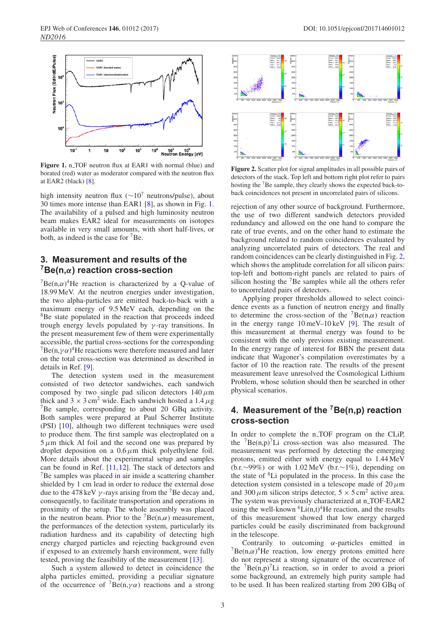<span id="page-2-0"></span>

**Figure 1.** n\_TOF neutron flux at EAR1 with normal (blue) and borated (red) water as moderator compared with the neutron flux at EAR2 (black) [\[8\]](#page-3-7).

high intensity neutron flux ( $\sim 10^7$  neutrons/pulse), about 30 times more intense than EAR1 [\[8](#page-3-7)], as shown in Fig. [1.](#page-2-0) The availability of a pulsed and high luminosity neutron beam makes EAR2 ideal for measurements on isotopes available in very small amounts, with short half-lives, or both, as indeed is the case for  ${}^{7}$ Be.

## **3. Measurement and results of the 7Be(n,***α***) reaction cross-section**

 $7Be(n,\alpha)^4$ He reaction is characterized by a Q-value of 18.99 MeV. At the neutron energies under investigation, the two alpha-particles are emitted back-to-back with a maximum energy of 9.5 MeV each, depending on the <sup>8</sup>Be state populated in the reaction that proceeds indeed trough energy levels populated by  $\gamma$ -ray transitions. In the present measurement few of them were experimentally accessible, the partial cross-sections for the corresponding  ${}^{7}Be(n,\gamma\alpha)$ <sup>4</sup>He reactions were therefore measured and later on the total cross-section was determined as described in details in Ref. [\[9](#page-3-8)].

The detection system used in the measurement consisted of two detector sandwiches, each sandwich composed by two single pad silicon detectors  $140 \mu m$ thick and  $3 \times 3$  cm<sup>2</sup> wide. Each sandwich hosted a 1.4  $\mu$ g 7Be sample, corresponding to about 20 GBq activity. Both samples were prepared at Paul Scherrer Institute (PSI) [\[10](#page-3-9)], although two different techniques were used to produce them. The first sample was electroplated on a  $5 \mu m$  thick Al foil and the second one was prepared by droplet deposition on a  $0.6 \mu m$  thick polyethylene foil. More details about the experimental setup and samples can be found in Ref. [\[11](#page-3-10),[12\]](#page-3-11). The stack of detectors and 7Be samples was placed in air inside a scattering chamber shielded by 1 cm lead in order to reduce the external dose due to the 478 keV  $\gamma$ -rays arising from the <sup>7</sup>Be decay and, consequently, to facilitate transportation and operations in proximity of the setup. The whole assembly was placed in the neutron beam. Prior to the  ${}^{7}Be(n,\alpha)$  measurement, the performances of the detection system, particularly its radiation hardness and its capability of detecting high energy charged particles and rejecting background even if exposed to an extremely harsh environment, were fully tested, proving the feasibility of the measurement [\[13\]](#page-3-12).

Such a system allowed to detect in coincidence the alpha particles emitted, providing a peculiar signature of the occurrence of  $\pi$ Be(n, $\gamma \alpha$ ) reactions and a strong

<span id="page-2-1"></span>

**Figure 2.** Scatter plot for signal amplitudes in all possible pairs of detectors of the stack. Top left and bottom right plot refer to pairs hosting the 7Be sample, they clearly shows the expected back-toback coincidences not present in uncorrelated pairs of silicons.

rejection of any other source of background. Furthermore, the use of two different sandwich detectors provided redundancy and allowed on the one hand to compare the rate of true events, and on the other hand to estimate the background related to random coincidences evaluated by analyzing uncorrelated pairs of detectors. The real and random coincidences can be clearly distinguished in Fig. [2,](#page-2-1) which shows the amplitude correlation for all silicon pairs: top-left and bottom-right panels are related to pairs of silicon hosting the <sup>7</sup>Be samples while all the others refer to uncorrelated pairs of detectors.

Applying proper thresholds allowed to select coincidence events as a function of neutron energy and finally to determine the cross-section of the  $^7$ Be(n, $\alpha$ ) reaction in the energy range 10 meV–10 keV [\[9](#page-3-8)]. The result of this measurement at thermal energy was found to be consistent with the only previous existing measurement. In the energy range of interest for BBN the present data indicate that Wagoner's compilation overestimates by a factor of 10 the reaction rate. The results of the present measurement leave unresolved the Cosmological Lithium Problem, whose solution should then be searched in other physical scenarios.

### **4. Measurement of the 7Be(n,p) reaction cross-section**

In order to complete the n<sub>-TOF</sub> program on the CLiP, the  ${}^{7}Be(n,p){}^{7}Li$  cross-section was also measured. The measurement was performed by detecting the emerging protons, emitted either with energy equal to 1.44 MeV (b.r.∼99%) or with 1.02 MeV (b.r.∼1%), depending on the state of 8Li populated in the process. In this case the detection system consisted in a telescope made of  $20 \mu m$ and 300  $\mu$ m silicon strips detector,  $5 \times 5$  cm<sup>2</sup> active area. The system was previously characterized at n\_TOF-EAR2 using the well-known  ${}^{6}Li(n,t){}^{4}He$  reaction, and the results of this measurement showed that low energy charged particles could be easily discriminated from background in the telescope.

Contrarily to outcoming  $\alpha$ -particles emitted in  $7Be(n,\alpha)^4$ He reaction, low energy protons emitted here do not represent a strong signature of the occurrence of the  ${}^{7}Be(n,p){}^{7}Li$  reaction, so in order to avoid a priori some background, an extremely high purity sample had to be used. It has been realized starting from 200 GBq of